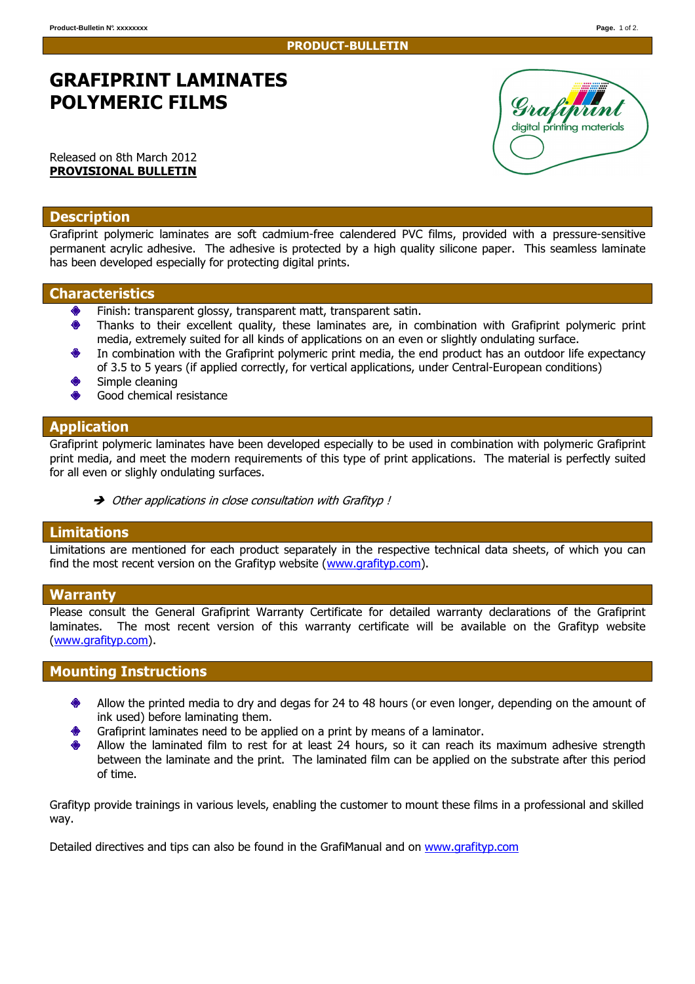#### PRODUCT-BULLETIN

# GRAFIPRINT LAMINATES POLYMERIC FILMS

Released on 8th March 2012 PROVISIONAL BULLETIN

#### **Description**

Grafiprint polymeric laminates are soft cadmium-free calendered PVC films, provided with a pressure-sensitive permanent acrylic adhesive. The adhesive is protected by a high quality silicone paper. This seamless laminate has been developed especially for protecting digital prints.

#### **Characteristics**

- ۰ Finish: transparent glossy, transparent matt, transparent satin.
- Thanks to their excellent quality, these laminates are, in combination with Grafiprint polymeric print media, extremely suited for all kinds of applications on an even or slightly ondulating surface.
- In combination with the Grafiprint polymeric print media, the end product has an outdoor life expectancy of 3.5 to 5 years (if applied correctly, for vertical applications, under Central-European conditions)
- Simple cleaning
- Good chemical resistance

#### Application

Grafiprint polymeric laminates have been developed especially to be used in combination with polymeric Grafiprint print media, and meet the modern requirements of this type of print applications. The material is perfectly suited for all even or slighly ondulating surfaces.

 $\rightarrow$  Other applications in close consultation with Grafityp !

## **Limitations**

Limitations are mentioned for each product separately in the respective technical data sheets, of which you can find the most recent version on the Grafityp website (www.grafityp.com).

#### **Warranty**

Please consult the General Grafiprint Warranty Certificate for detailed warranty declarations of the Grafiprint laminates. The most recent version of this warranty certificate will be available on the Grafityp website (www.grafityp.com).

#### Mounting Instructions

- Allow the printed media to dry and degas for 24 to 48 hours (or even longer, depending on the amount of ink used) before laminating them.
- Grafiprint laminates need to be applied on a print by means of a laminator.
- Allow the laminated film to rest for at least 24 hours, so it can reach its maximum adhesive strength between the laminate and the print. The laminated film can be applied on the substrate after this period of time.

Grafityp provide trainings in various levels, enabling the customer to mount these films in a professional and skilled way.

Detailed directives and tips can also be found in the GrafiManual and on www.grafityp.com